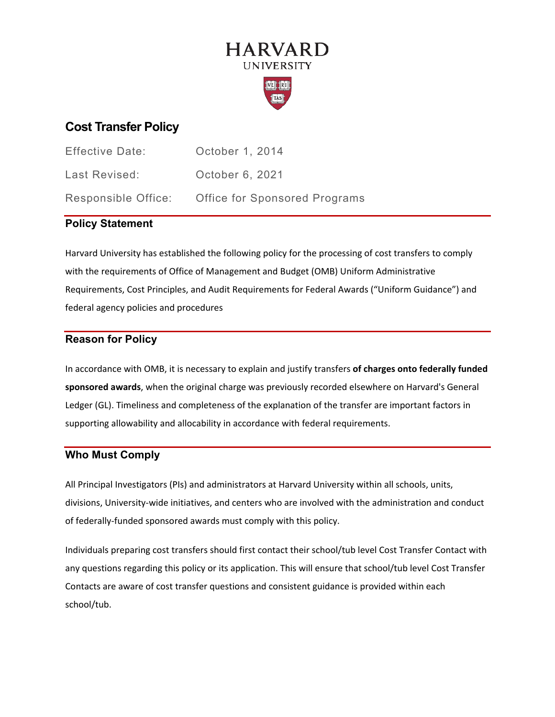# **HARVARD UNIVERSITY**



# **Cost Transfer Policy**

| <b>Effective Date:</b> | October 1, 2014               |
|------------------------|-------------------------------|
| Last Revised:          | October 6, 2021               |
| Responsible Office:    | Office for Sponsored Programs |

# **Policy Statement**

Harvard University has established the following policy for the processing of cost transfers to comply with the requirements of Office of Management and Budget (OMB) Uniform Administrative Requirements, Cost Principles, and Audit Requirements for Federal Awards ("Uniform Guidance") and federal agency policies and procedures

# **Reason for Policy**

In accordance with OMB, it is necessary to explain and justify transfers **of charges onto federally funded sponsored awards**, when the original charge was previously recorded elsewhere on Harvard's General Ledger (GL). Timeliness and completeness of the explanation of the transfer are important factors in supporting allowability and allocability in accordance with federal requirements.

# **Who Must Comply**

All Principal Investigators (PIs) and administrators at Harvard University within all schools, units, divisions, University-wide initiatives, and centers who are involved with the administration and conduct of federally-funded sponsored awards must comply with this policy.

Individuals preparing cost transfers should first contact their school/tub level Cost Transfer Contact with any questions regarding this policy or its application. This will ensure that school/tub level Cost Transfer Contacts are aware of cost transfer questions and consistent guidance is provided within each school/tub.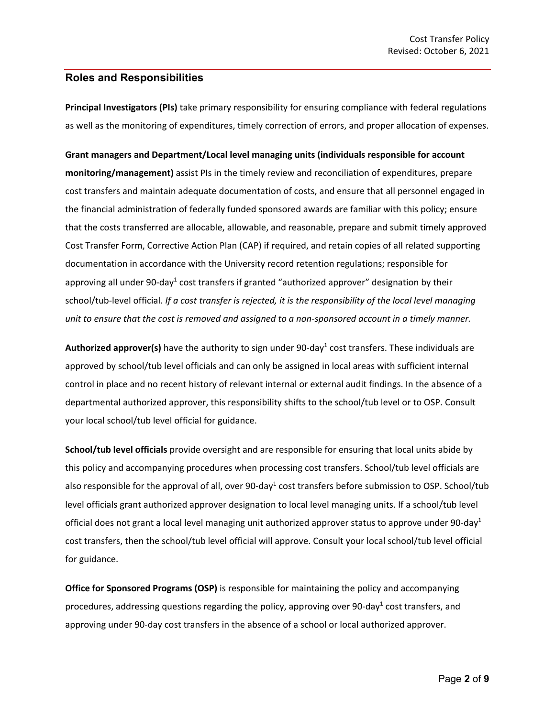## **Roles and Responsibilities**

**Principal Investigators (PIs)** take primary responsibility for ensuring compliance with federal regulations as well as the monitoring of expenditures, timely correction of errors, and proper allocation of expenses.

**Grant managers and Department/Local level managing units (individuals responsible for account monitoring/management)** assist PIs in the timely review and reconciliation of expenditures, prepare cost transfers and maintain adequate documentation of costs, and ensure that all personnel engaged in the financial administration of federally funded sponsored awards are familiar with this policy; ensure that the costs transferred are allocable, allowable, and reasonable, prepare and submit timely approved Cost Transfer Form, Corrective Action Plan (CAP) if required, and retain copies of all related supporting documentation in accordance with the University record retention regulations; responsible for approving all under 90-day<sup>1</sup> cost transfers if granted "authorized approver" designation by their school/tub-level official. *If a cost transfer is rejected, it is the responsibility of the local level managing unit to ensure that the cost is removed and assigned to a non-sponsored account in a timely manner.*

Authorized approver(s) have the authority to sign under 90-day<sup>1</sup> cost transfers. These individuals are approved by school/tub level officials and can only be assigned in local areas with sufficient internal control in place and no recent history of relevant internal or external audit findings. In the absence of a departmental authorized approver, this responsibility shifts to the school/tub level or to OSP. Consult your local school/tub level official for guidance.

**School/tub level officials** provide oversight and are responsible for ensuring that local units abide by this policy and accompanying procedures when processing cost transfers. School/tub level officials are also responsible for the approval of all, over 90-day<sup>1</sup> cost transfers before submission to OSP. School/tub level officials grant authorized approver designation to local level managing units. If a school/tub level official does not grant a local level managing unit authorized approver status to approve under 90-day<sup>1</sup> cost transfers, then the school/tub level official will approve. Consult your local school/tub level official for guidance.

**Office for Sponsored Programs (OSP)** is responsible for maintaining the policy and accompanying procedures, addressing questions regarding the policy, approving over 90-day<sup>1</sup> cost transfers, and approving under 90-day cost transfers in the absence of a school or local authorized approver.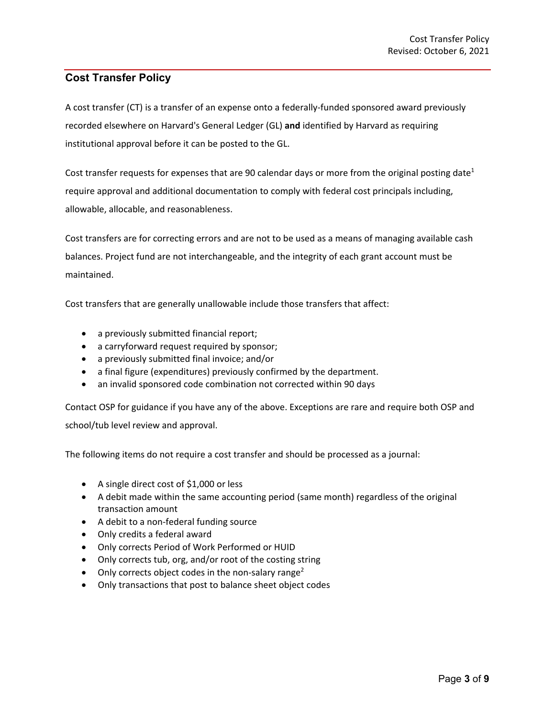# **Cost Transfer Policy**

A cost transfer (CT) is a transfer of an expense onto a federally-funded sponsored award previously recorded elsewhere on Harvard's General Ledger (GL) **and** identified by Harvard as requiring institutional approval before it can be posted to the GL.

Cost transfer requests for expenses that are 90 calendar days or more from the original posting date<sup>1</sup> require approval and additional documentation to comply with federal cost principals including, allowable, allocable, and reasonableness.

Cost transfers are for correcting errors and are not to be used as a means of managing available cash balances. Project fund are not interchangeable, and the integrity of each grant account must be maintained.

Cost transfers that are generally unallowable include those transfers that affect:

- a previously submitted financial report;
- a carryforward request required by sponsor;
- a previously submitted final invoice; and/or
- a final figure (expenditures) previously confirmed by the department.
- an invalid sponsored code combination not corrected within 90 days

Contact OSP for guidance if you have any of the above. Exceptions are rare and require both OSP and school/tub level review and approval.

The following items do not require a cost transfer and should be processed as a journal:

- A single direct cost of \$1,000 or less
- A debit made within the same accounting period (same month) regardless of the original transaction amount
- A debit to a non-federal funding source
- Only credits a federal award
- Only corrects Period of Work Performed or HUID
- Only corrects tub, org, and/or root of the costing string
- Only corrects object codes in the non-salary range<sup>2</sup>
- Only transactions that post to balance sheet object codes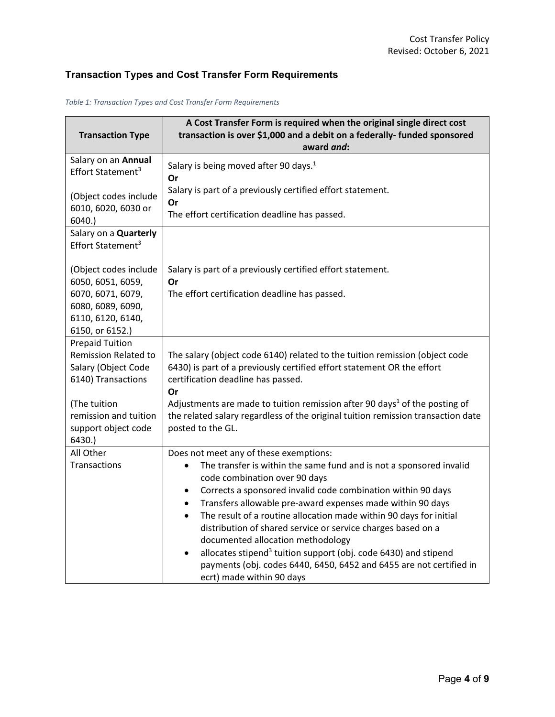# **Transaction Types and Cost Transfer Form Requirements**

| <b>Transaction Type</b>                                                                            | A Cost Transfer Form is required when the original single direct cost<br>transaction is over \$1,000 and a debit on a federally- funded sponsored<br>award and:                                                                                                                                                                                                                                                                                                                                                                                                                                                                                                                                             |
|----------------------------------------------------------------------------------------------------|-------------------------------------------------------------------------------------------------------------------------------------------------------------------------------------------------------------------------------------------------------------------------------------------------------------------------------------------------------------------------------------------------------------------------------------------------------------------------------------------------------------------------------------------------------------------------------------------------------------------------------------------------------------------------------------------------------------|
| Salary on an Annual<br>Effort Statement <sup>3</sup>                                               | Salary is being moved after 90 days. <sup>1</sup><br>Or                                                                                                                                                                                                                                                                                                                                                                                                                                                                                                                                                                                                                                                     |
| (Object codes include<br>6010, 6020, 6030 or<br>6040.                                              | Salary is part of a previously certified effort statement.<br>Or<br>The effort certification deadline has passed.                                                                                                                                                                                                                                                                                                                                                                                                                                                                                                                                                                                           |
| Salary on a Quarterly<br>Effort Statement <sup>3</sup>                                             |                                                                                                                                                                                                                                                                                                                                                                                                                                                                                                                                                                                                                                                                                                             |
| (Object codes include<br>6050, 6051, 6059,                                                         | Salary is part of a previously certified effort statement.<br>Or                                                                                                                                                                                                                                                                                                                                                                                                                                                                                                                                                                                                                                            |
| 6070, 6071, 6079,<br>6080, 6089, 6090,<br>6110, 6120, 6140,<br>6150, or 6152.)                     | The effort certification deadline has passed.                                                                                                                                                                                                                                                                                                                                                                                                                                                                                                                                                                                                                                                               |
| <b>Prepaid Tuition</b><br><b>Remission Related to</b><br>Salary (Object Code<br>6140) Transactions | The salary (object code 6140) related to the tuition remission (object code<br>6430) is part of a previously certified effort statement OR the effort<br>certification deadline has passed.<br>Or                                                                                                                                                                                                                                                                                                                                                                                                                                                                                                           |
| (The tuition<br>remission and tuition<br>support object code<br>6430.                              | Adjustments are made to tuition remission after 90 days <sup>1</sup> of the posting of<br>the related salary regardless of the original tuition remission transaction date<br>posted to the GL.                                                                                                                                                                                                                                                                                                                                                                                                                                                                                                             |
| All Other<br>Transactions                                                                          | Does not meet any of these exemptions:<br>The transfer is within the same fund and is not a sponsored invalid<br>$\bullet$<br>code combination over 90 days<br>Corrects a sponsored invalid code combination within 90 days<br>$\bullet$<br>Transfers allowable pre-award expenses made within 90 days<br>$\bullet$<br>The result of a routine allocation made within 90 days for initial<br>$\bullet$<br>distribution of shared service or service charges based on a<br>documented allocation methodology<br>allocates stipend <sup>3</sup> tuition support (obj. code 6430) and stipend<br>$\bullet$<br>payments (obj. codes 6440, 6450, 6452 and 6455 are not certified in<br>ecrt) made within 90 days |

*Table 1: Transaction Types and Cost Transfer Form Requirements*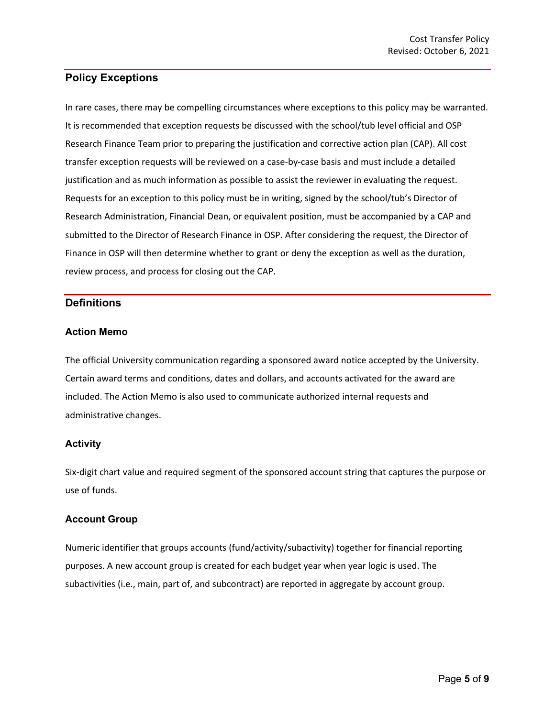# **Policy Exceptions**

In rare cases, there may be compelling circumstances where exceptions to this policy may be warranted. It is recommended that exception requests be discussed with the school/tub level official and OSP Research Finance Team prior to preparing the justification and corrective action plan (CAP). All cost transfer exception requests will be reviewed on a case-by-case basis and must include a detailed justification and as much information as possible to assist the reviewer in evaluating the request. Requests for an exception to this policy must be in writing, signed by the school/tub's Director of Research Administration, Financial Dean, or equivalent position, must be accompanied by a CAP and submitted to the Director of Research Finance in OSP. After considering the request, the Director of Finance in OSP will then determine whether to grant or deny the exception as well as the duration, review process, and process for closing out the CAP.

## **Definitions**

#### **Action Memo**

The official University communication regarding a sponsored award notice accepted by the University. Certain award terms and conditions, dates and dollars, and accounts activated for the award are included. The Action Memo is also used to communicate authorized internal requests and administrative changes.

#### **Activity**

Six-digit chart value and required segment of the sponsored account string that captures the purpose or use of funds.

#### **Account Group**

Numeric identifier that groups accounts (fund/activity/subactivity) together for financial reporting purposes. A new account group is created for each budget year when year logic is used. The subactivities (i.e., main, part of, and subcontract) are reported in aggregate by account group.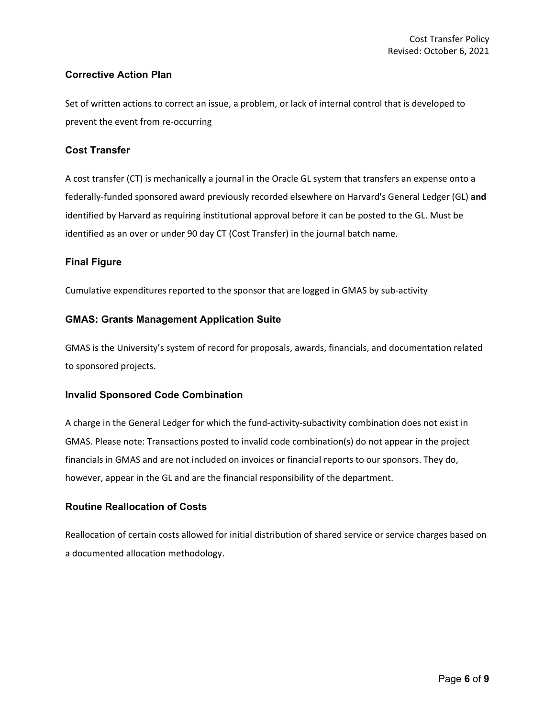#### **Corrective Action Plan**

Set of written actions to correct an issue, a problem, or lack of internal control that is developed to prevent the event from re-occurring

#### **Cost Transfer**

A cost transfer (CT) is mechanically a journal in the Oracle GL system that transfers an expense onto a federally-funded sponsored award previously recorded elsewhere on Harvard's General Ledger (GL) **and** identified by Harvard as requiring institutional approval before it can be posted to the GL. Must be identified as an over or under 90 day CT (Cost Transfer) in the journal batch name.

#### **Final Figure**

Cumulative expenditures reported to the sponsor that are logged in GMAS by sub-activity

#### **GMAS: Grants Management Application Suite**

GMAS is the University's system of record for proposals, awards, financials, and documentation related to sponsored projects.

#### **Invalid Sponsored Code Combination**

A charge in the General Ledger for which the fund-activity-subactivity combination does not exist in GMAS. Please note: Transactions posted to invalid code combination(s) do not appear in the project financials in GMAS and are not included on invoices or financial reports to our sponsors. They do, however, appear in the GL and are the financial responsibility of the department.

#### **Routine Reallocation of Costs**

Reallocation of certain costs allowed for initial distribution of shared service or service charges based on a documented allocation methodology.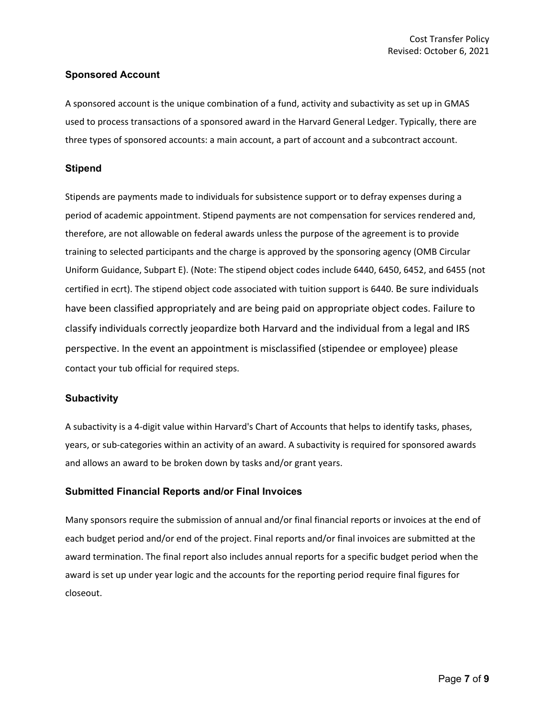#### **Sponsored Account**

A sponsored account is the unique combination of a fund, activity and subactivity as set up in GMAS used to process transactions of a sponsored award in the Harvard General Ledger. Typically, there are three types of sponsored accounts: a main account, a part of account and a subcontract account.

#### **Stipend**

Stipends are payments made to individuals for subsistence support or to defray expenses during a period of academic appointment. Stipend payments are not compensation for services rendered and, therefore, are not allowable on federal awards unless the purpose of the agreement is to provide training to selected participants and the charge is approved by the sponsoring agency (OMB Circular Uniform Guidance, Subpart E). (Note: The stipend object codes include 6440, 6450, 6452, and 6455 (not certified in ecrt). The stipend object code associated with tuition support is 6440. Be sure individuals have been classified appropriately and are being paid on appropriate object codes. Failure to classify individuals correctly jeopardize both Harvard and the individual from a legal and IRS perspective. In the event an appointment is misclassified (stipendee or employee) please contact your tub official for required steps.

#### **Subactivity**

A subactivity is a 4-digit value within Harvard's Chart of Accounts that helps to identify tasks, phases, years, or sub-categories within an activity of an award. A subactivity is required for sponsored awards and allows an award to be broken down by tasks and/or grant years.

#### **Submitted Financial Reports and/or Final Invoices**

Many sponsors require the submission of annual and/or final financial reports or invoices at the end of each budget period and/or end of the project. Final reports and/or final invoices are submitted at the award termination. The final report also includes annual reports for a specific budget period when the award is set up under year logic and the accounts for the reporting period require final figures for closeout.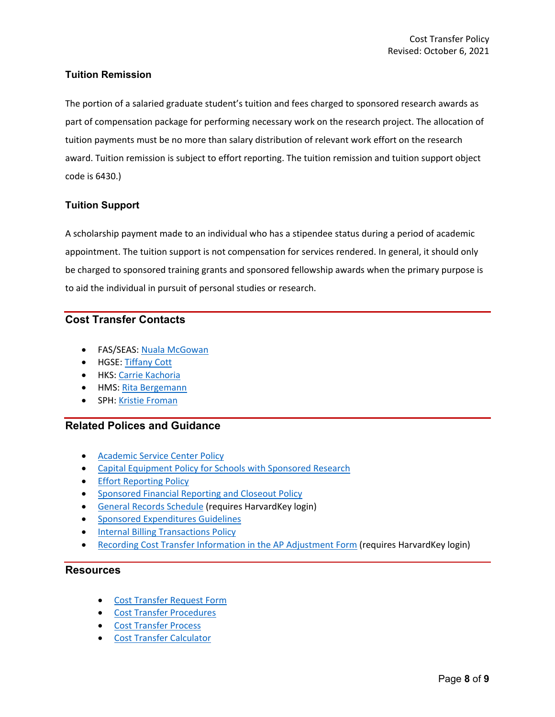### **Tuition Remission**

The portion of a salaried graduate student's tuition and fees charged to sponsored research awards as part of compensation package for performing necessary work on the research project. The allocation of tuition payments must be no more than salary distribution of relevant work effort on the research award. Tuition remission is subject to effort reporting. The tuition remission and tuition support object code is 6430.)

### **Tuition Support**

A scholarship payment made to an individual who has a stipendee status during a period of academic appointment. The tuition support is not compensation for services rendered. In general, it should only be charged to sponsored training grants and sponsored fellowship awards when the primary purpose is to aid the individual in pursuit of personal studies or research.

# **Cost Transfer Contacts**

- FAS/SEAS: [Nuala McGowan](mailto:nmcgowan@fas.harvard.edu)
- HGSE[: Tiffany Cott](mailto:tiffany_cott@gse.harvard.edu)
- HKS: [Carrie Kachoria](mailto:carrie_kachoria@hks.harvard.edu)
- HMS[: Rita Bergemann](mailto:RITA_BERGEMANN@hms.harvard.edu)
- SPH: [Kristie Froman](mailto:kfroman@hsph.harvard.edu)

### **Related Polices and Guidance**

- [Academic Service Center Policy](https://osp.finance.harvard.edu/service-centers)
- [Capital Equipment Policy for Schools with Sponsored Research](https://osp.finance.harvard.edu/capital-equipment-policy)
- [Effort Reporting Policy](https://osp.finance.harvard.edu/effort-reporting-policy)
- [Sponsored Financial Reporting and Closeout Policy](https://osp.finance.harvard.edu/sponsored-financial-reporting-and-closeout-policy)
- [General Records Schedule](https://grs.harvard.edu/) (requires HarvardKey login)
- [Sponsored Expenditures Guidelines](https://osp.finance.harvard.edu/sponsored-expenditures-guidelines)
- [Internal Billing Transactions Policy](https://policies.fad.harvard.edu/pages/internal-billing-transactions)
- [Recording Cost Transfer Information in the AP Adjustment Form](https://trainingportal.harvard.edu/Saba/Web_spf/NA1PRD0068/common/resources/resourcedetail/simrs000000000004882) (requires HarvardKey login)

#### **Resources**

- [Cost Transfer Request Form](https://osp.finance.harvard.edu/files/office-for-sponsored-programs/files/cost_transfer_request_form_january_2021.pdf)
- [Cost Transfer Procedures](https://osp.finance.harvard.edu/office-for-sponsored-programs/files/cost_transfer_procedures_october_2021.pdf)
- [Cost Transfer Process](https://osp.finance.harvard.edu/cost-transfer-process)
- [Cost Transfer Calculator](https://osp.finance.harvard.edu/files/office-for-sponsored-programs/files/cost_transfer_calculator_september_2019.xlsx)